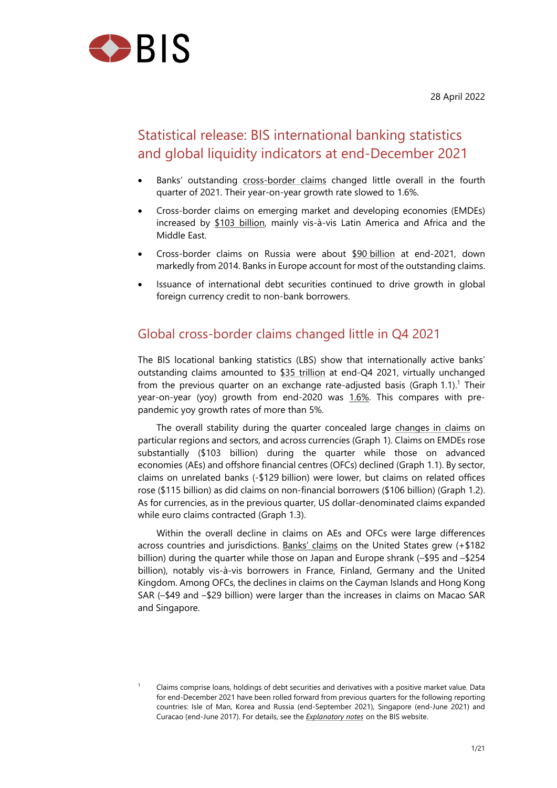

<span id="page-0-0"></span>1

# Statistical release: BIS international banking statistics and global liquidity indicators at end-December 2021

- Banks' outstanding cross-border claims changed little overall in the fourth quarter of 2021. Their year-on-year growth rate slowed to 1.6%.
- Cross-border claims on emerging market and developing economies (EMDEs) increased by \$103 [billion, mainly vis-à-v](https://stats.bis.org/statx/srs/table/A1?c=&p=20214&m=S)is Latin America and Africa and the Middle East.
- Cross-border claims on Russia were about \$90 billion at end-2021, down markedly fro[m 2014. Banks](https://stats.bis.org/statx/srs/table/A6.1?c=4T&p=20214&m=F) in Europe account for most of the outstanding claims.
- Issuance of international debt securities continued to drive growth in global foreign currency credit to non-bank borrowers[.](https://stats.bis.org/statx/srs/table/A6.1?c=RU&p=)

## Global cross-border claims changed little in Q4 2021

The BIS locational banking statistics (LBS) show that internationally active banks' outstanding claims amounted to \$35 trillion at end-Q4 2021, virtually unchanged from the previous quarter on an exchange rate-adjusted basis (Graph 1.1).<sup>1</sup> Their year-on-year (yoy) growth from end-2020 was 1.6%. This compares with prepandemic yoy growth rates of mo[re than 5%.](https://stats.bis.org/statx/srs/table/a1?m=S) 

The overall stability during the quarter concealed large changes in cla[im](#page-0-0)s on particular regions and sectors, and across currencie[s \(Grap](https://stats.bis.org/statx/srs/table/A1?c=&p=20214&m=G)h 1). Claims on EMDEs rose substantially (\$103 billion) during the quarter while those on advanced economies (AEs) and offshore financial centres (OFCs) declined (Graph 1.1). By sector, claims on unrelated banks (-\$129 billion) were lower, but cl[aims on related offic](https://stats.bis.org/statx/srs/table/A1?c=&p=20214&m=F)es rose (\$115 billion) as did claims on non-financial borrowers (\$106 billion) (Graph 1.2). As for currencies, as in the previous quarter, US dollar-denominated claims expanded while euro claims contracted (Graph 1.3).

Within the overall decline in claims on AEs and OFCs were large differences across countries and jurisdictions. Banks' claims on the United States grew (+\$182 billion) during the quarter while those on Japan and Europe shrank (–\$95 and –\$254 billion), notably vis-à-vis borrowers in France, Finland, Germany and the United Kingdom. Among OFCs, the declines in claims on the Cayman Islands and Hong Kong SAR (–\$49 and –\$29 billion) were [larger than the](https://stats.bis.org/statx/srs/table/a3?m=F) increases in claims on Macao SAR and Singapore.

Claims comprise loans, holdings of debt securities and derivatives with a positive market value. Data for end-December 2021 have been rolled forward from previous quarters for the following reporting countries: Isle of Man, Korea and Russia (end-September 2021), Singapore (end-June 2021) and Curacao (end-June 2017). For details, see the *Explanatory notes* on the BIS website.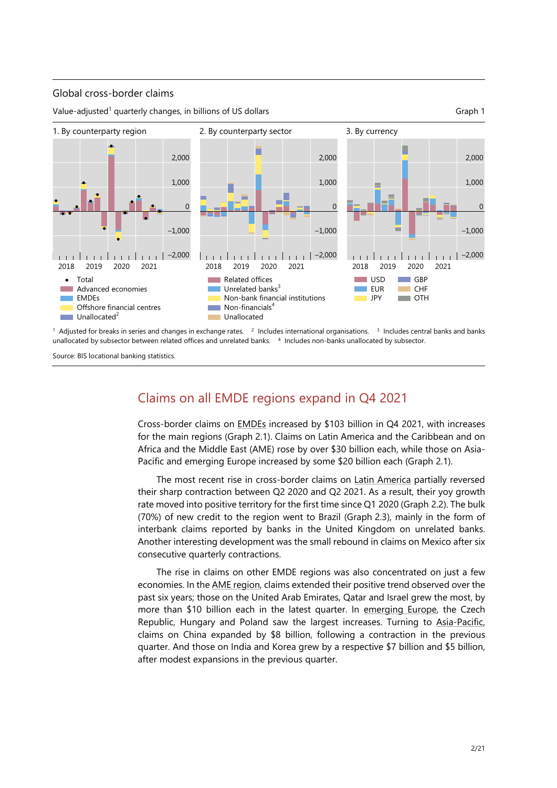### Global cross-border claims

Value-adjusted<sup>1</sup> quarterly changes, in billions of US dollars Graph 1 and Graph 1





<sup>1</sup> Adjusted for breaks in series and changes in exchange rates.  $2 \cdot$  Includes international organisations. <sup>3</sup> Includes central banks and banks unallocated by subsector between related offices and unrelated banks. 4 Includes non-banks unallocated by subsector.

Source: BIS locational banking statistics.

## Claims on all EMDE regions expand in Q4 2021

Cross-border claims on EMDEs increased by \$103 billion in Q4 2021, with increases for the main regions (Graph 2.1). Claims on Latin America and the Caribbean and on Africa and the Middle East (AME) rose by over \$30 billion each, while those on Asia-Pacific and emerging E[urope inc](https://stats.bis.org/statx/srs/table/A6.1?c=4T&p=20214&m=F)reased by some \$20 billion each (Graph 2.1).

The most recent rise in cross-border claims on Latin America partially reversed their sharp contraction between Q2 2020 and Q2 2021. As a result, their yoy growth rate moved into positive territory for the first time since Q1 2020 (Graph 2.2). The bulk (70%) of new credit to the region went to Brazil (Graph 2.3), mainly in the form of interbank claims reported by banks in the Unite[d Kingdom on](https://stats.bis.org/statx/srs/table/A6.1?c=4U&p=20214&m=F) unrelated banks. Another interesting development was the small rebound in claims on Mexico after six consecutive quarterly contractions.

The rise in claims on other EMDE regions was also concentrated on just a few economies. In the AME region, claims extended their positive trend observed over the past six years; those on the United Arab Emirates, Qatar and Israel grew the most, by more than \$10 billion each in the latest quarter. In emerging Europe, the Czech Republic, Hungary and Poland saw the largest increases. Turning to Asia-Pacific, claims on China [expanded by](https://stats.bis.org/statx/srs/table/A6.1?c=4W&p=20214&m=F) \$8 billion, following a contraction in the previous quarter. And those on India and Korea grew by a resp[ective \\$7 billion and](https://stats.bis.org/statx/srs/table/A6.1?c=3C&p=20214&m=F) \$5 billion, after modest expansions in the previous quarter.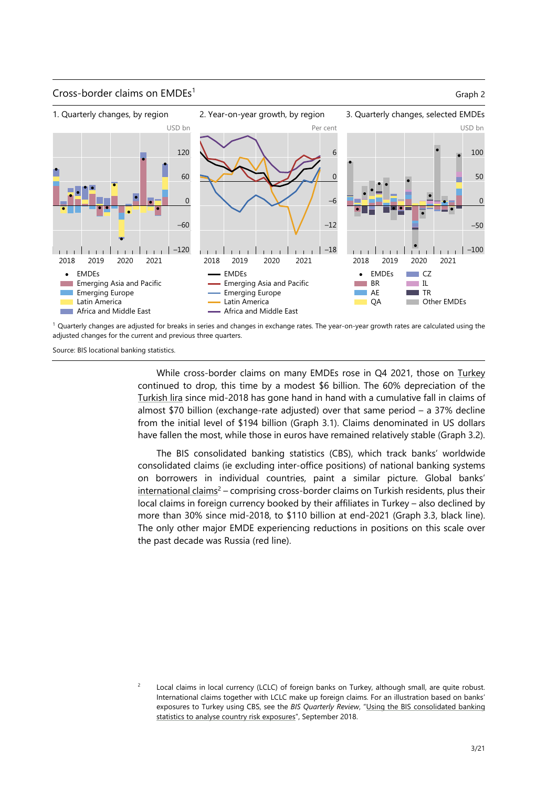### Cross-border claims on  $EMDEs<sup>1</sup>$  Graph 2



 $1$  Quarterly changes are adjusted for breaks in series and changes in exchange rates. The year-on-year growth rates are calculated using the adjusted changes for the current and previous three quarters.

Source: BIS locational banking statistics.

While cross-border claims on many EMDEs rose in Q4 2021, those on Turkey continued to drop, this time by a modest \$6 billion. The 60% depreciation of the Turkish lira since mid-2018 has gone hand in hand with a cumulative fall in claims of almost \$70 billion (exchange-rate adjusted) over that same period – a 37% [decline](https://stats.bis.org/statx/srs/table/A6.1?c=TR&p=20214&m=F)  from the initial level of \$194 billion (Graph 3.1). Claims denominated in US dollars [have fallen t](https://stats.bis.org/statx/srs/tseries/EER/Q.N.B.TR?t=i1&p=20213&m=B&c=&o=w:20164.20214)he most, while those in euros have remained relatively stable (Graph 3.2).

The BIS consolidated banking statistics (CBS), which track banks' worldwide consolidated claims (ie excluding inter-office positions) of national banking systems on borrowers in individual countries, paint a similar picture. Global banks'  $intermational claims<sup>2</sup> – comprising cross-border claims on Turkish residents, plus their$ local claims in foreign currency booked by their affiliates in Turkey – also declined by more than 30% since mid-2018, to \$110 billion at end-2021 (Graph 3.3, black line). The only other major EMDE experiencing reductions in positions on this scale over [the past decade wa](https://stats.bis.org/statx/srs/table/B4?c=TR&p=)[s](#page-2-0) Russia (red line).

<span id="page-2-0"></span>2 Local claims in local currency (LCLC) of foreign banks on Turkey, although small, are quite robust. International claims together with LCLC make up foreign claims. For an illustration based on banks' exposures to Turkey using CBS, see the *BIS Quarterly Review*, "Using the BIS consolidated banking statistics to analyse country risk exposures", September 2018.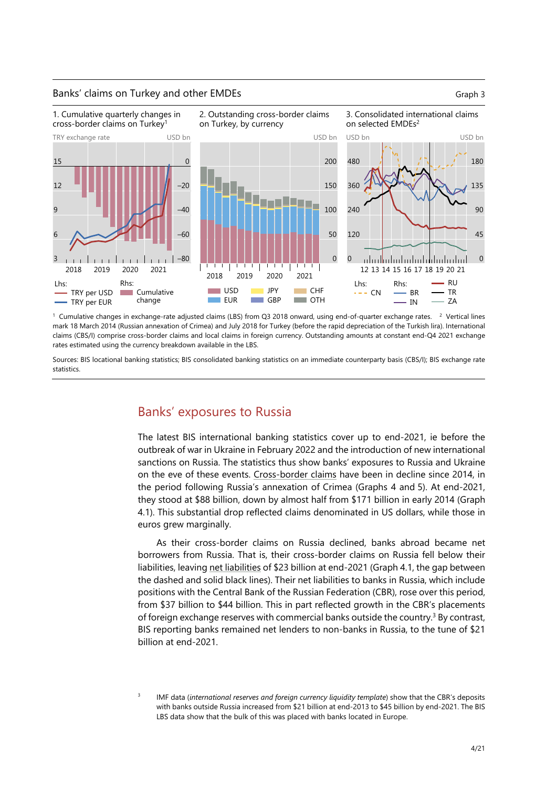### Banks' claims on Turkey and other EMDEs Graph 3



<sup>1</sup> Cumulative changes in exchange-rate adjusted claims (LBS) from Q3 2018 onward, using end-of-quarter exchange rates. <sup>2</sup> Vertical lines mark 18 March 2014 (Russian annexation of Crimea) and July 2018 for Turkey (before the rapid depreciation of the Turkish lira). International claims (CBS/I) comprise cross-border claims and local claims in foreign currency. Outstanding amounts at constant end-Q4 2021 exchange rates estimated using the currency breakdown available in the LBS.

Sources: BIS locational banking statistics; BIS consolidated banking statistics on an immediate counterparty basis (CBS/I); BIS exchange rate statistics.

## Banks' exposures to Russia

The latest BIS international banking statistics cover up to end-2021, ie before the outbreak of war in Ukraine in February 2022 and the introduction of new international sanctions on Russia. The statistics thus show banks' exposures to Russia and Ukraine on the eve of these events. Cross-border claims have been in decline since 2014, in the period following Russia's annexation of Crimea (Graphs 4 and 5). At end-2021, they stood at \$88 billion, down by almost half from \$171 billion in early 2014 (Graph 4.1). This substantial drop r[eflected claims denom](https://stats.bis.org/statx/srs/table/A6.1?c=RU&p=)inated in US dollars, while those in euros grew marginally.

As their cross-border claims on Russia declined, banks abroad became net borrowers from Russia. That is, their cross-border claims on Russia fell below their liabilities, leaving net liabilities of \$23 billion at end-2021 (Graph 4.1, the gap between the dashed and solid black lines). Their net liabilities to banks in Russia, which include positions with the Central Bank of the Russian Federation (CBR), rose over this period, from \$37 billion to \$44 billion. This in part reflected growth in the CBR's placements of foreign excha[nge reserves w](http://lbnas1327.bisinfo.org/statx/srs/tseries/LBS_D_PUB/Q:S:C:A:TO1:A:5J:A:5A:A:RU:N?t=A6.1&p=20214&m=S&c=RU&x=L_POSITION.2.CL_L_POSITION.C:L&o=w:20114.20214)ith commercial banks outside the country.<sup>3</sup> By contrast, BIS reporting banks remained net lenders to non-banks in Russia, to the tune of \$21 billion at end-2021.

<sup>3</sup> IMF data (*international reserves and foreign currency liquidity template*) show that the CBR's deposits with banks outside Russia increased from \$21 billion at end-2013 to \$45 billion by end-2021. The BIS LBS data show that the bulk of this was placed with banks located in Europe.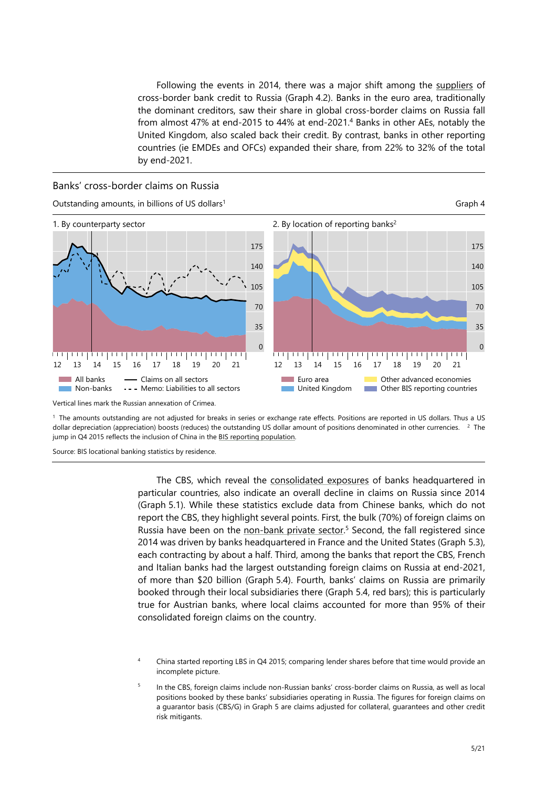Following the events in 2014, there was a major shift among the suppliers of cross-border bank credit to Russia (Graph 4.2). Banks in the euro area, traditionally the dominant creditors, saw their share in global cross-border claims on Russia fall from almost 47% at end-2015 to 44% at end-2021.<sup>4</sup> Banks in other AEs, notably the United Kingdom, also scaled back their credit. By contrast, banks in ot[her reportin](https://stats.bis.org/statx/srs/table/A6.2?c=RU&p=)g countries (ie EMDEs and OFCs) expanded their share, from 22% to 32% of the total by end-2021.

### Banks' cross-border claims on Russia



Vertical lines mark the Russian annexation of Crimea.

1 The amounts outstanding are not adjusted for breaks in series or exchange rate effects. Positions are reported in US dollars. Thus a US dollar depreciation (appreciation) boosts (reduces) the outstanding US dollar amount of positions denominated in other currencies. <sup>2</sup> The jump in Q4 2015 reflects the inclusion of China in the BIS reporting population.

Source: BIS locational banking statistics by residence.

The CBS, whic[h reveal the consoli](https://www.bis.org/statistics/rep_countries.htm)dated exposures of banks headquartered in particular countries, also indicate an overall decline in claims on Russia since 2014 (Graph 5.1). While these statistics exclude data from Chinese banks, which do not report the CBS, they highlight s[everal points. First, the bul](https://stats.bis.org/statx/srs/table/B4?c=RU&p=)k (70%) of foreign claims on Russia have been on the non-bank private sector.<sup>5</sup> Second, the fall registered since 2014 was driven by banks headquartered in France and the United States (Graph 5.3), each contracting by about a half. Third, among the banks that report the CBS, French and Italian banks had the largest outstanding foreign claims on Russia at end-2021, of more than \$20 billio[n \(Graph 5.4\). Fourth, ban](http://lbnas1327.bisinfo.org/statx/srs/tseries/CBS_PUB/Q.S.5A.4R.U.C.A.A.TO1.R.RU?t=b4&p=20214&m=S&c=RU&o=w:20114.20214)[k](#page-4-0)s' claims on Russia are primarily booked through their local subsidiaries there (Graph 5.4, red bars); this is particularly true for Austrian banks, where local claims accounted for more than 95% of their consolidated foreign claims on the country.

4 China started reporting LBS in Q4 2015; comparing lender shares before that time would provide an incomplete picture.

<span id="page-4-0"></span>5 In the CBS, foreign claims include non-Russian banks' cross-border claims on Russia, as well as local positions booked by these banks' subsidiaries operating in Russia. The figures for foreign claims on a guarantor basis (CBS/G) in Graph 5 are claims adjusted for collateral, guarantees and other credit risk mitigants.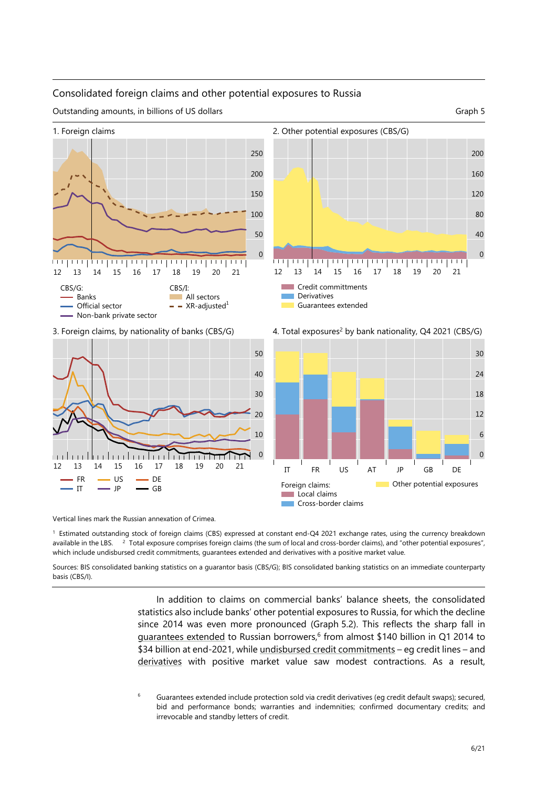### Consolidated foreign claims and other potential exposures to Russia











3. Foreign claims, by nationality of banks (CBS/G) 4. Total exposures<sup>2</sup> by bank nationality, Q4 2021 (CBS/G)



Vertical lines mark the Russian annexation of Crimea.

1 Estimated outstanding stock of foreign claims (CBS) expressed at constant end-Q4 2021 exchange rates, using the currency breakdown available in the LBS. <sup>2</sup> Total exposure comprises foreign claims (the sum of local and cross-border claims), and "other potential exposures", which include undisbursed credit commitments, guarantees extended and derivatives with a positive market value.

Sources: BIS consolidated banking statistics on a guarantor basis (CBS/G); BIS consolidated banking statistics on an immediate counterparty basis (CBS/I).

> In addition to claims on commercial banks' balance sheets, the consolidated statistics also include banks' other potential exposures to Russia, for which the decline since 2014 was even more pronounced (Graph 5.2). This reflects the sharp fall in guarantees extended to Russian borrowers, $6$  from almost \$140 billion in Q1 2014 to \$34 billion at end-2021, while undisbursed credit commitments – eg credit lines – and derivatives with positive market value saw modest contractions. As a result,

<sup>6</sup> Guarantees extended include [protection sold via credit derivatives \(eg cred](http://lbnas1327.bisinfo.org/statx/srs/tseries/CBS_PUB/Q.S.5A.4R.U.X.A.A.TO1.A.RU?t=b4&p=20214&m=S&c=RU&o=w:20114.20214)it default swaps); secured, [bid and](http://lbnas1327.bisinfo.org/statx/srs/tseries/CBS_PUB/Q.S.5A.4R.U.C.V.A.TO1.A.RU?t=b4&p=20214&m=S&c=RU&o=w:20114.20214) performance bonds; warranties and indemnities; confirmed documentary credits; and irrevocable and standby letters of credit.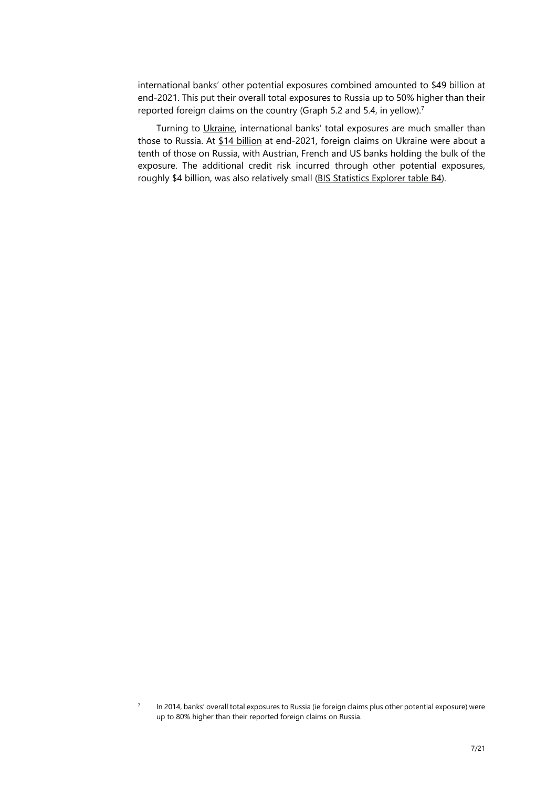international banks' other potential exposures combined amounted to \$49 billion at end-2021. This put their overall total exposures to Russia up to 50% higher than their reported foreign claims on the country (Graph 5.2 and 5.4, in yellow).<sup>7</sup>

Turning to Ukraine, international banks' total exposures are much smaller than those to Russia. At \$14 billion at end-2021, foreign claims on Ukraine were about a tenth of those on Russia, with Austrian, French and US banks holdin[g t](#page-6-0)he bulk of the exposure. The additional credit risk incurred through other potential exposures, roughly \$4 billi[on, was a](https://stats.bis.org/statx/srs/table/B4?c=UA&p=)[lso rela](http://lbnas1327.bisinfo.org/statx/srs/tseries/CBS_PUB/Q.S.5A.4O.F.C.A.A.TO1.A.UA?t=b4&p=20214&m=S&c=UA&o=w:20114.20214)tively small (BIS Statistics Explorer table B4).

<span id="page-6-0"></span><sup>7</sup> In 2014, banks' overall total exposures to Russia (ie foreign claims plus other potential exposure) were up to 80% higher than their reported foreign claims on Russia.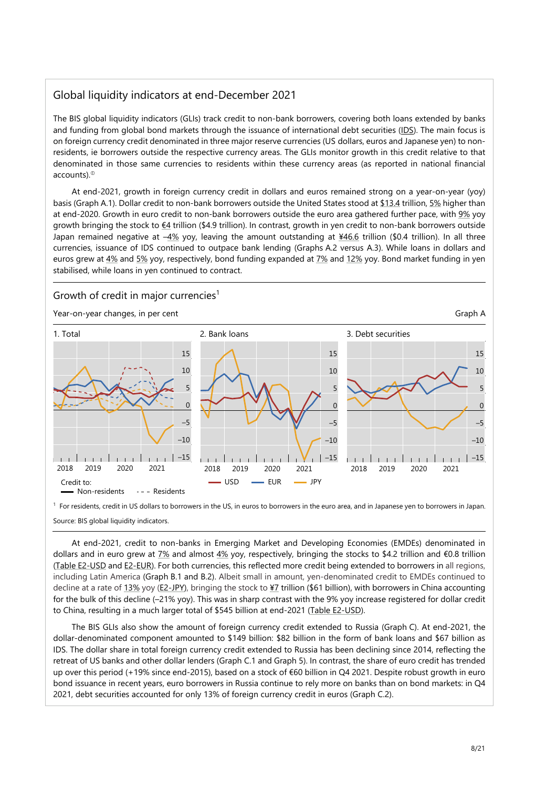## Global liquidity indicators at end-December 2021

The BIS global liquidity indicators (GLIs) track credit to non-bank borrowers, covering both loans extended by banks and funding from global bond markets through the issuance of international debt securities (IDS). The main focus is on foreign currency credit denominated in three major reserve currencies (US dollars, euros and Japanese yen) to nonresidents, ie borrowers outside the respective currency areas. The GLIs monitor growth in this credit relative to that denominated in those same currencies to residents within these currency areas (as reported in national financial accounts).

At end-2021, growth in foreign currency credit in dollars and euros remained strong on a year-on-year (yoy) basis (Graph A.1). Dollar credit to non-bank borrowers outside the United States stood at \$13.4 trillion, 5% higher than at end-2020. Growth in euro credit to non-bank borrowers outside the euro area gathered further pace, with 9% yoy growth bringing the stock to  $E4$  trillion (\$4.9 trillion). In contrast, growth in yen credit to non-bank borrowers outside Japan remained negative at  $-4\%$  yoy, leaving the amount outstanding at  $\frac{\text{446.6}}{1000}$  trillion). In all three currencies, issuance of IDS continued to outpace bank lending (Graphs A.2 versus A.[3\). Whil](https://stats.bis.org/statx/srs/tseries/GLI/Q.USD.3P.N.A.I.B.USD?t=e2&c=&m=USD&p=20214&i=1.3)e loan[s in](https://stats.bis.org/statx/srs/tseries/GLI/Q.USD.3P.N.A.I.B.771?t=e2&c=&m=USD&p=20214&i=1.6) dollars and euros grew at 4% and 5% yoy, respectively, bond funding expanded at 7% and 12% yoy. Bond market fundin[g in y](https://stats.bis.org/statx/srs/tseries/GLI/Q.EUR.3P.N.A.I.B.771?t=e2&c=&m=EUR&p=20214&i=1.6)en stabilised, while loans in yen [con](https://stats.bis.org/statx/srs/tseries/GLI/Q.EUR.3P.N.A.I.B.EUR?t=e2&c=&m=EUR&p=20214&i=1.3)tinued to contract.

### Growth of credit in major currencies<sup>1</sup>

Year-on-year [chan](https://stats.bis.org/statx/srs/tseries/GLI/Q.USD.3P.N.B.I.G.771?t=e2&c=&m=USD&p=20214&i=23.6)ge[s, in p](https://stats.bis.org/statx/srs/tseries/GLI/Q.EUR.3P.N.B.I.G.771?t=e2&c=&m=EUR&p=20214&i=23.6)er cent Graph A



<sup>1</sup> For residents, credit in US dollars to borrowers in the US, in euros to borrowers in the euro area, and in Japanese yen to borrowers in Japan. Source: BIS global liquidity indicators.

At end-2021, credit to non-banks in Emerging Market and Developing Economies (EMDEs) denominated in dollars and in euro grew at  $7\%$  and almost  $4\%$  yoy, respectively, bringing the stocks to \$4.2 trillion and  $\epsilon$ 0.8 trillion (Table E2-USD and E2-EUR). For both currencies, this reflected more credit being extended to borrowers in all regions, including Latin America (Graph B.1 and B.2). Albeit small in amount, yen-denominated credit to EMDEs continued to decline at a rate of 13% yoy (E2-JPY), bringing the stock to ¥7 trillion (\$61 billion), with borrowers in China accounting for the bulk of this decline ([–21%](https://stats.bis.org/statx/srs/tseries/GLI/Q.USD.4T.N.A.I.B.771?t=e2&c=&m=USD&p=20214&i=2.6) yoy). This [was](https://stats.bis.org/statx/srs/tseries/GLI/Q.EUR.4T.N.A.I.B.771?t=e2&c=&m=EUR&p=20214&i=2.6) in sharp contrast with the 9% yoy increase registered for dollar credit [to China, result](https://stats.bis.org/statx/srs/table/e2?m=USD)ing [in a muc](https://stats.bis.org/statx/srs/table/E2?c=&p=20214&m=EUR)h larger total of \$545 billion at end-2021 (Table E2-USD).

The BIS GLIs also show the amount of foreign currency credit extended to Russia (Graph C). At end-2021, the dollar-denominat[ed com](https://stats.bis.org/statx/srs/tseries/GLI/Q.JPY.4T.N.A.I.B.771?t=e2&c=&m=JPY&p=20214&i=2.6)po[nent am](https://stats.bis.org/statx/srs/table/E2?c=&p=20214&m=JPY)ounted to \$149 billio[n: \\$8](https://stats.bis.org/statx/srs/tseries/GLI/Q.JPY.4T.N.A.I.B.JPY?t=e2&c=&m=JPY&p=20214&i=2.3)2 billion in the form of bank loans and \$67 billion as IDS. The dollar share in total foreign currency credit extended to Russia has been declining since 2014, reflecting the retreat of US banks and other dollar lenders (Graph C.1 and Graph 5). [In contrast, the](https://stats.bis.org/statx/srs/table/e2?m=USD) share of euro credit has trended up over this period (+19% since end-2015), based on a stock of €60 billion in Q4 2021. Despite robust growth in euro bond issuance in recent years, euro borrowers in Russia continue to rely more on banks than on bond markets: in Q4 2021, debt securities accounted for only 13% of foreign currency credit in euros (Graph C.2).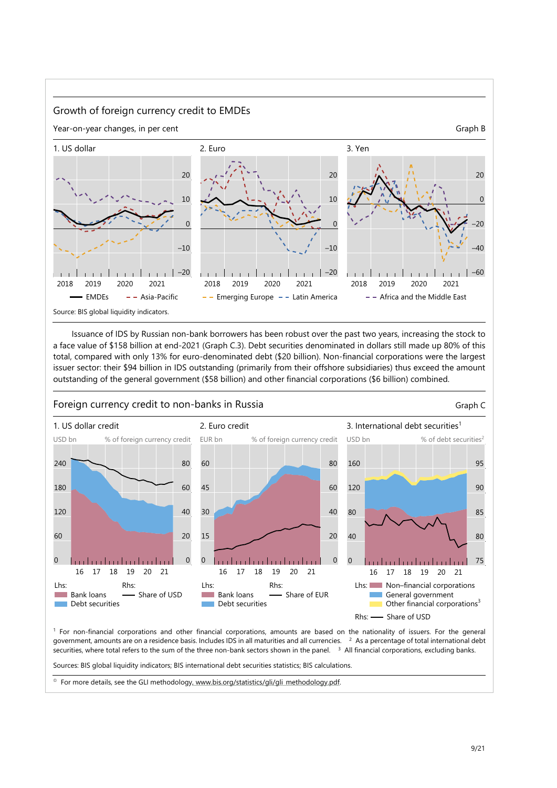

Issuance of IDS by Russian non-bank borrowers has been robust over the past two years, increasing the stock to a face value of \$158 billion at end-2021 (Graph C.3). Debt securities denominated in dollars still made up 80% of this total, compared with only 13% for euro-denominated debt (\$20 billion). Non-financial corporations were the largest issuer sector: their \$94 billion in IDS outstanding (primarily from their offshore subsidiaries) thus exceed the amount outstanding of the general government (\$58 billion) and other financial corporations (\$6 billion) combined.



1 For non-financial corporations and other financial corporations, amounts are based on the nationality of issuers. For the general government, amounts are on a residence basis. Includes IDS in all maturities and all currencies. <sup>2</sup> As a percentage of total international debt securities, where total refers to the sum of the three non-bank sectors shown in the panel. <sup>3</sup> All financial corporations, excluding banks.

Sources: BIS global liquidity indicators; BIS international debt securities statistics; BIS calculations.

<sup>®</sup> For more details, see the GLI methodology<u>, www.bis.org/statistics/gli/gli\_methodology.pdf</u>.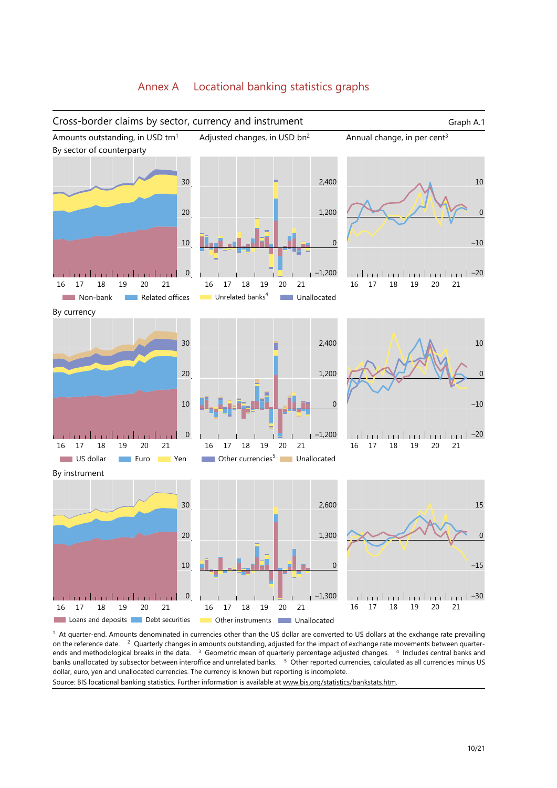

1 At quarter-end. Amounts denominated in currencies other than the US dollar are converted to US dollars at the exchange rate prevailing on the reference date. <sup>2</sup> Quarterly changes in amounts outstanding, adjusted for the impact of exchange rate movements between quarterends and methodological breaks in the data. <sup>3</sup> Geometric mean of quarterly percentage adjusted changes. <sup>4</sup> Includes central banks and banks unallocated by subsector between interoffice and unrelated banks. 5 Other reported currencies, calculated as all currencies minus US

dollar, euro, yen and unallocated currencies. The currency is known but reporting is incomplete.

Source: BIS locational banking statistics. Further information is available at www.bis.org/statistics/bankstats.htm.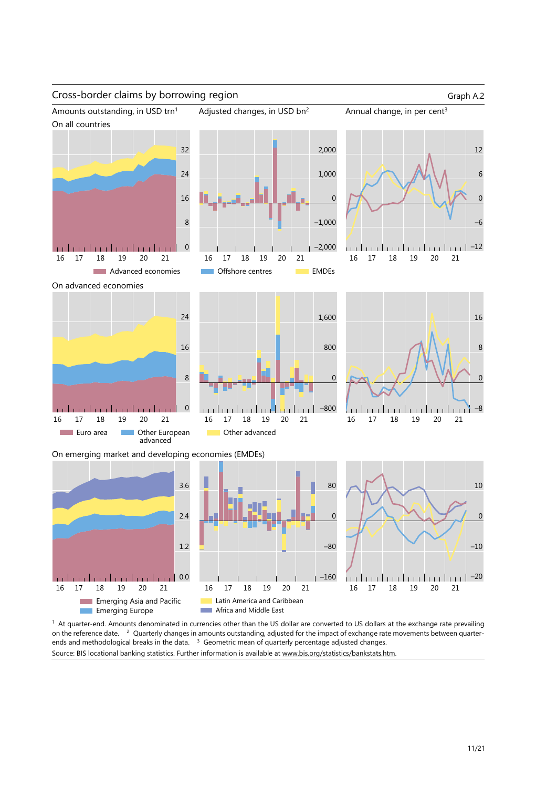



<sup>1</sup> At quarter-end. Amounts denominated in currencies other than the US dollar are converted to US dollars at the exchange rate prevailing on the reference date. <sup>2</sup> Quarterly changes in amounts outstanding, adjusted for the impact of exchange rate movements between quarterends and methodological breaks in the data.  $3\,$  Geometric mean of quarterly percentage adjusted changes. Source: BIS locational banking statistics. Further information is available at www.bis.org/statistics/bankstats.htm.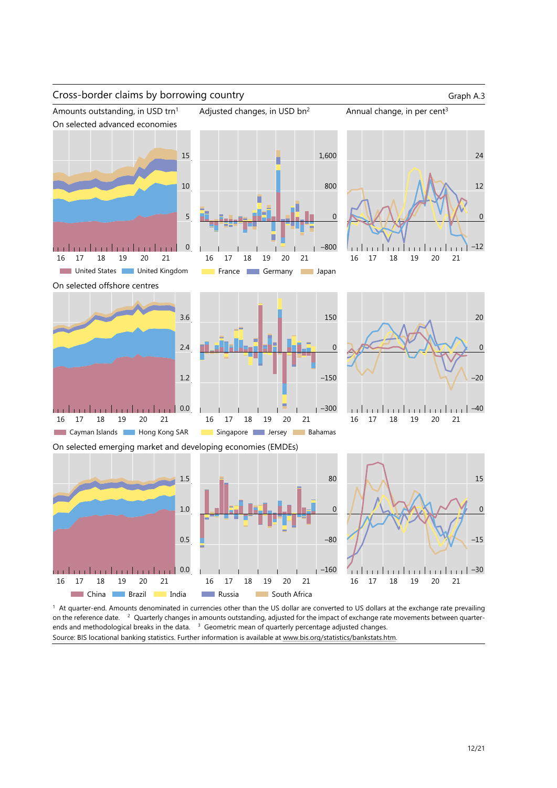

<sup>1</sup> At quarter-end. Amounts denominated in currencies other than the US dollar are converted to US dollars at the exchange rate prevailing on the reference date. <sup>2</sup> Quarterly changes in amounts outstanding, adjusted for the impact of exchange rate movements between quarterends and methodological breaks in the data.  $3$  Geometric mean of quarterly percentage adjusted changes. Source: BIS locational banking statistics. Further information is available at www.bis.org/statistics/bankstats.htm.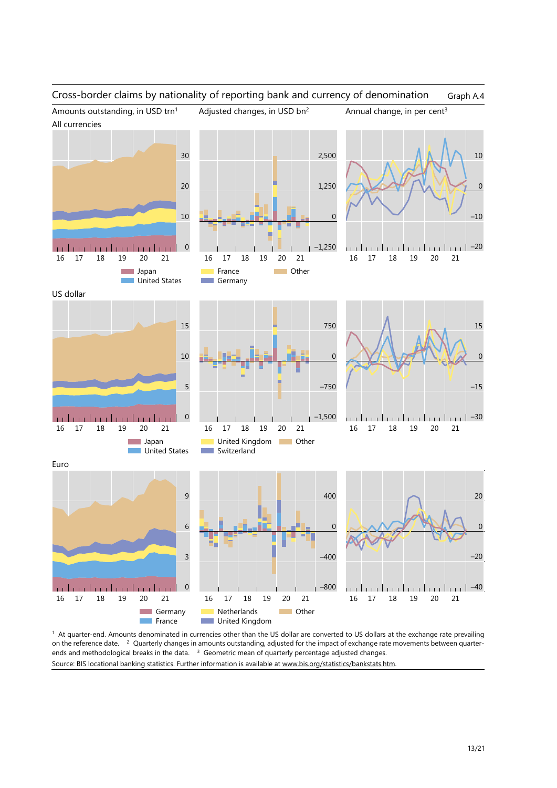### Cross-border claims by nationality of reporting bank and currency of denomination Graph A.4 Amounts outstanding, in USD trn<sup>1</sup> Adjusted changes, in USD bn<sup>2</sup> Annual change, in per cent<sup>3</sup> All currencies 30 2,500 10 20 1,250  $\Omega$ 10 –10  $\Omega$ 0 –1,250 –20 . . . . . . . . . . . . . . . 16 17 18 19 20 21 16 17 18 19 20 21 16 17 18 19 20 21 **Lapan** France **Communication** United States **Germany** US dollar 15 750 15 10  $\Omega$  $\Omega$ 5 –750 –15 –1,500 matan da matan 0 (198− از زرزارزززارزززارززارززارزز) 16 17 18 19 20 21 16 17 18 19 20 21 16 17 18 19 20 21 **Lapan** United Kingdom **National Communist Communist Communist Communist Communist Communist Communist Communist Communist United States** Switzerland Euro 20 9 400 6 0 0 –20 3 –400 mbodo do t 0 –800 –40 16 17 18 19 20 21 16 17 18 19 20 21 16 17 18 19 20 21**Germany** Netherlands **Communication France United Kingdom**

<sup>1</sup> At quarter-end. Amounts denominated in currencies other than the US dollar are converted to US dollars at the exchange rate prevailing on the reference date. 2 Quarterly changes in amounts outstanding, adjusted for the impact of exchange rate movements between quarterends and methodological breaks in the data. <sup>3</sup> Geometric mean of quarterly percentage adjusted changes. Source: BIS locational banking statistics. Further information is available at www.bis.org/statistics/bankstats.htm.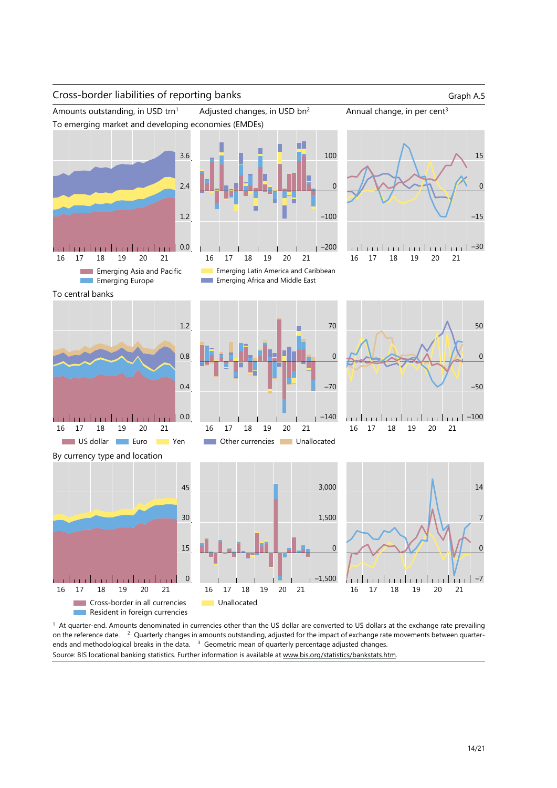

1 At quarter-end. Amounts denominated in currencies other than the US dollar are converted to US dollars at the exchange rate prevailing on the reference date. <sup>2</sup> Quarterly changes in amounts outstanding, adjusted for the impact of exchange rate movements between quarterends and methodological breaks in the data. <sup>3</sup> Geometric mean of quarterly percentage adjusted changes. Source: BIS locational banking statistics. Further information is available at www.bis.org/statistics/bankstats.htm.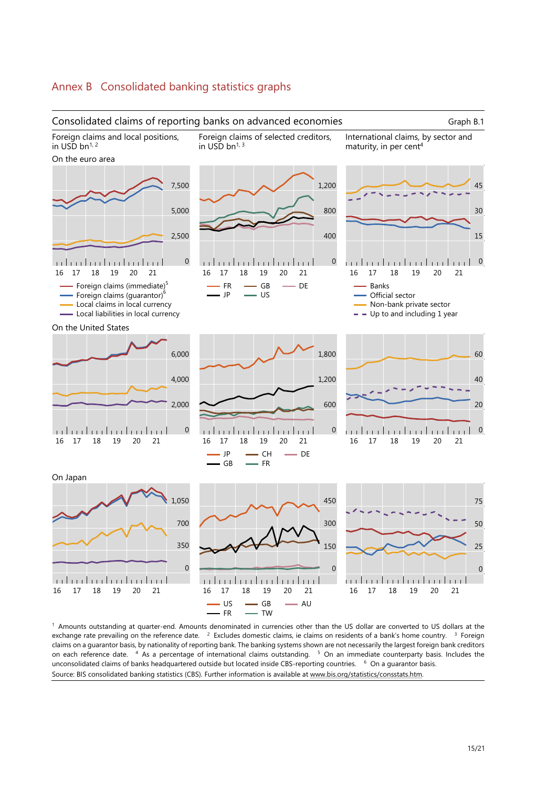

1 Amounts outstanding at quarter-end. Amounts denominated in currencies other than the US dollar are converted to US dollars at the exchange rate prevailing on the reference date. <sup>2</sup> Excludes domestic claims, ie claims on residents of a bank's home country. <sup>3</sup> Foreign claims on a guarantor basis, by nationality of reporting bank. The banking systems shown are not necessarily the largest foreign bank creditors on each reference date. 4 As a percentage of international claims outstanding. 5 On an immediate counterparty basis. Includes the unconsolidated claims of banks headquartered outside but located inside CBS-reporting countries. <sup>6</sup> On a quarantor basis. Source: BIS consolidated banking statistics (CBS). Further information is available at www.bis.org/statistics/consstats.htm.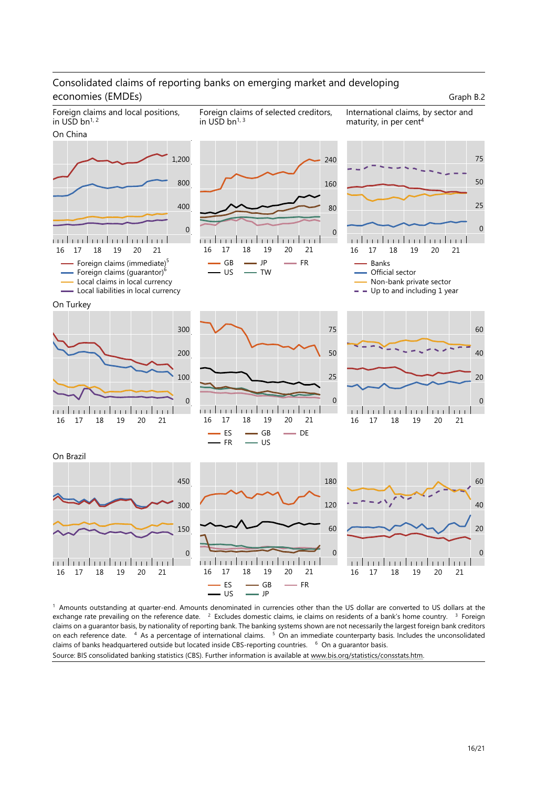## Consolidated claims of reporting banks on emerging market and developing economies (EMDEs) Graph B.2



1 Amounts outstanding at quarter-end. Amounts denominated in currencies other than the US dollar are converted to US dollars at the exchange rate prevailing on the reference date. <sup>2</sup> Excludes domestic claims, ie claims on residents of a bank's home country. <sup>3</sup> Foreign claims on a guarantor basis, by nationality of reporting bank. The banking systems shown are not necessarily the largest foreign bank creditors on each reference date. <sup>4</sup> As a percentage of international claims. <sup>5</sup> On an immediate counterparty basis. Includes the unconsolidated claims of banks headquartered outside but located inside CBS-reporting countries. <sup>6</sup> On a guarantor basis. Source: BIS consolidated banking statistics (CBS). Further information is available at www.bis.org/statistics/consstats.htm.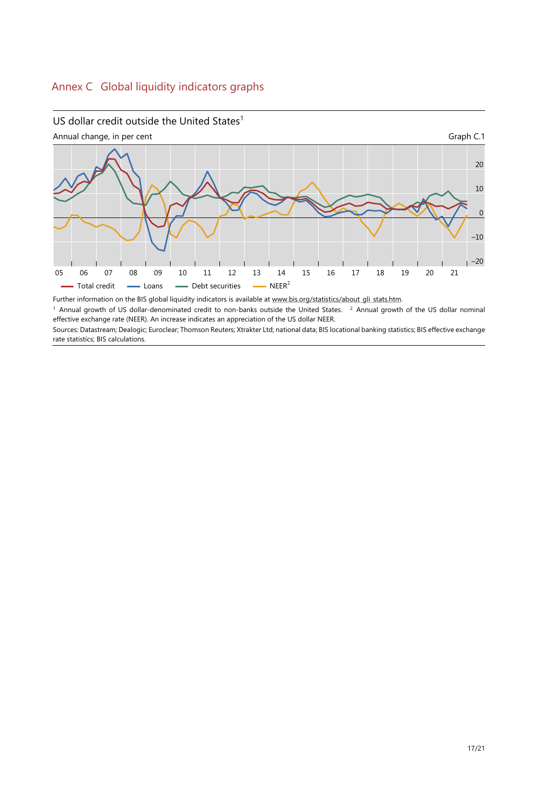## US dollar credit outside the United States $1$



Further information on the BIS global liquidity indicators is available at www.bis.org/statistics/about\_gli\_stats.htm.

 $1$  Annual growth of US dollar-denominated credit to non-banks outside the United States.  $2$  Annual growth of the US dollar nominal effective exchange rate (NEER). An increase indicates an appreciation of the US dollar NEER.

Sources: Datastream; Dealogic; Euroclear; Thomson Reuters; Xtrakter Ltd; national data; BIS locational banking statistics; BIS effective exchange rate statistics; BIS calculations.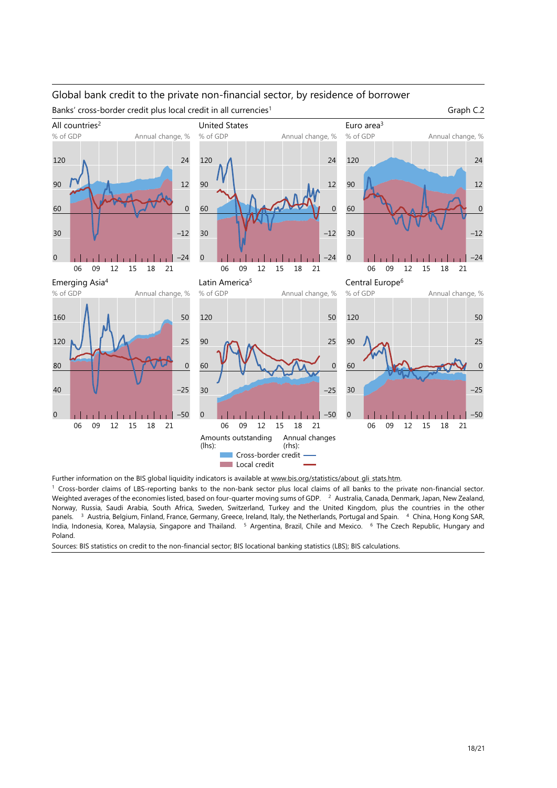## Global bank credit to the private non-financial sector, by residence of borrower Banks' cross-border credit plus local credit in all currencies<sup>1</sup> Graph C.2



Further information on the BIS global liquidity indicators is available at www.bis.org/statistics/about\_gli\_stats.htm.

1 Cross-border claims of LBS-reporting banks to the non-bank sector plus local claims of all banks to the private non-financial sector. Weighted averages of the economies listed, based on four-quarter moving sums of GDP. <sup>2</sup> Australia, Canada, Denmark, Japan, New Zealand, Norway, Russia, Saudi Arabia, South Africa, Sweden, Switzerland, Turkey and the United Kingdom, plus the countries in the other panels. <sup>3</sup> Austria, Belgium, Finland, France, Germany, Greece, Ireland, Italy, the Netherlands, Portugal and Spain. <sup>4</sup> China, Hong Kong SAR, India, Indonesia, Korea, Malaysia, Singapore and Thailand. 5 Argen[tina, Brazil, Chile and Mexico. 6 The Czec](https://www.bis.org/statistics/about_gli_stats.htm)h Republic, Hungary and Poland.

Sources: BIS statistics on credit to the non-financial sector; BIS locational banking statistics (LBS); BIS calculations.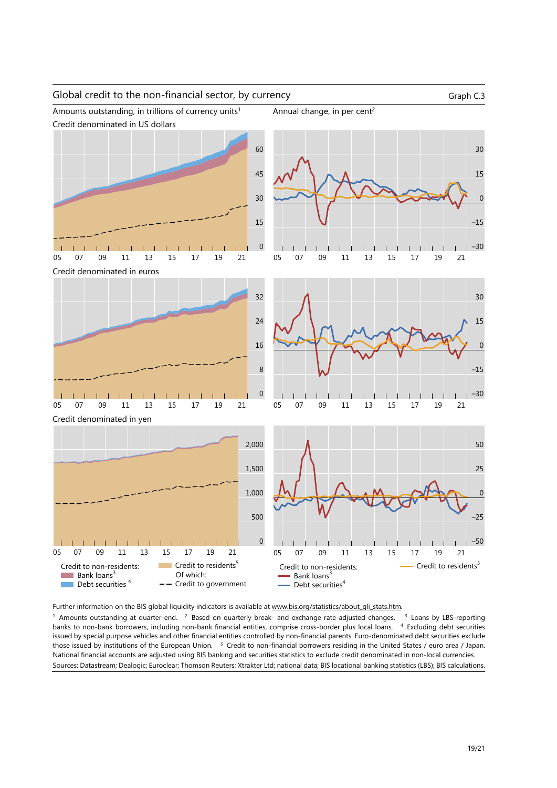### Global credit to the non-financial sector, by currency Graph C.3

–30

Amounts outstanding, in trillions of currency units<sup>1</sup> Annual change, in per cent<sup>2</sup>







Credit denominated in euros





05 07 09 11 13 15 17 19 21

Credit denominated in yen



Further information on the BIS global liquidity indicators is available at www.bis.org/statistics/about\_gli\_stats.htm.

 $1$  Amounts outstanding at quarter-end.  $2$  Based on quarterly break- and exchange rate-adjusted changes.  $3$  Loans by LBS-reporting banks to non-bank borrowers, including non-bank financial entities, comprise cross-border plus local loans. 4 Excluding debt securities issued by special purpose vehicles and other financial entities controlled by non-financial parents. Euro-denominated debt securities exclude those issued by institutions of the European Union. 5 Credit to non-financial borrowers residing in the United States / euro area / Japan. National financial accounts are adjusted using BIS banking and securit[ies statistics to exclude credit denominated](https://www.bis.org/statistics/about_gli_stats.htm) in non-local currencies. Sources: Datastream; Dealogic; Euroclear; Thomson Reuters; Xtrakter Ltd; national data; BIS locational banking statistics (LBS); BIS calculations.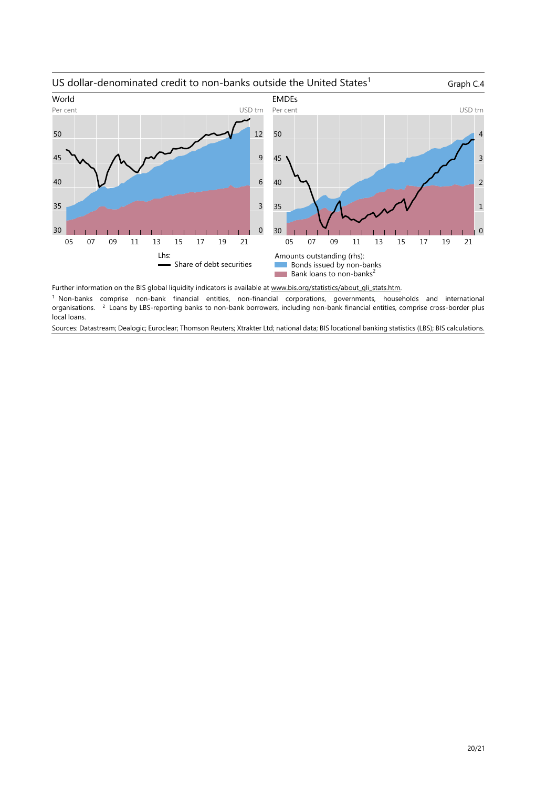

Further information on the BIS global liquidity indicators is available at www.bis.org/statistics/about\_gli\_stats.htm. 1 Non-banks comprise non-bank financial entities, non-financial corporations, governments, households and international organisations. <sup>2</sup> Loans by LBS-reporting banks to non-bank borrowers, including non-bank financial entities, comprise cross-border plus local loans.

Sources: Datastream; Dealogic; Euroclear; Thomson Reuters; Xtrakter Lt[d; national data; BIS locational banking stati](https://www.bis.org/statistics/about_gli_stats.htm)stics (LBS); BIS calculations.